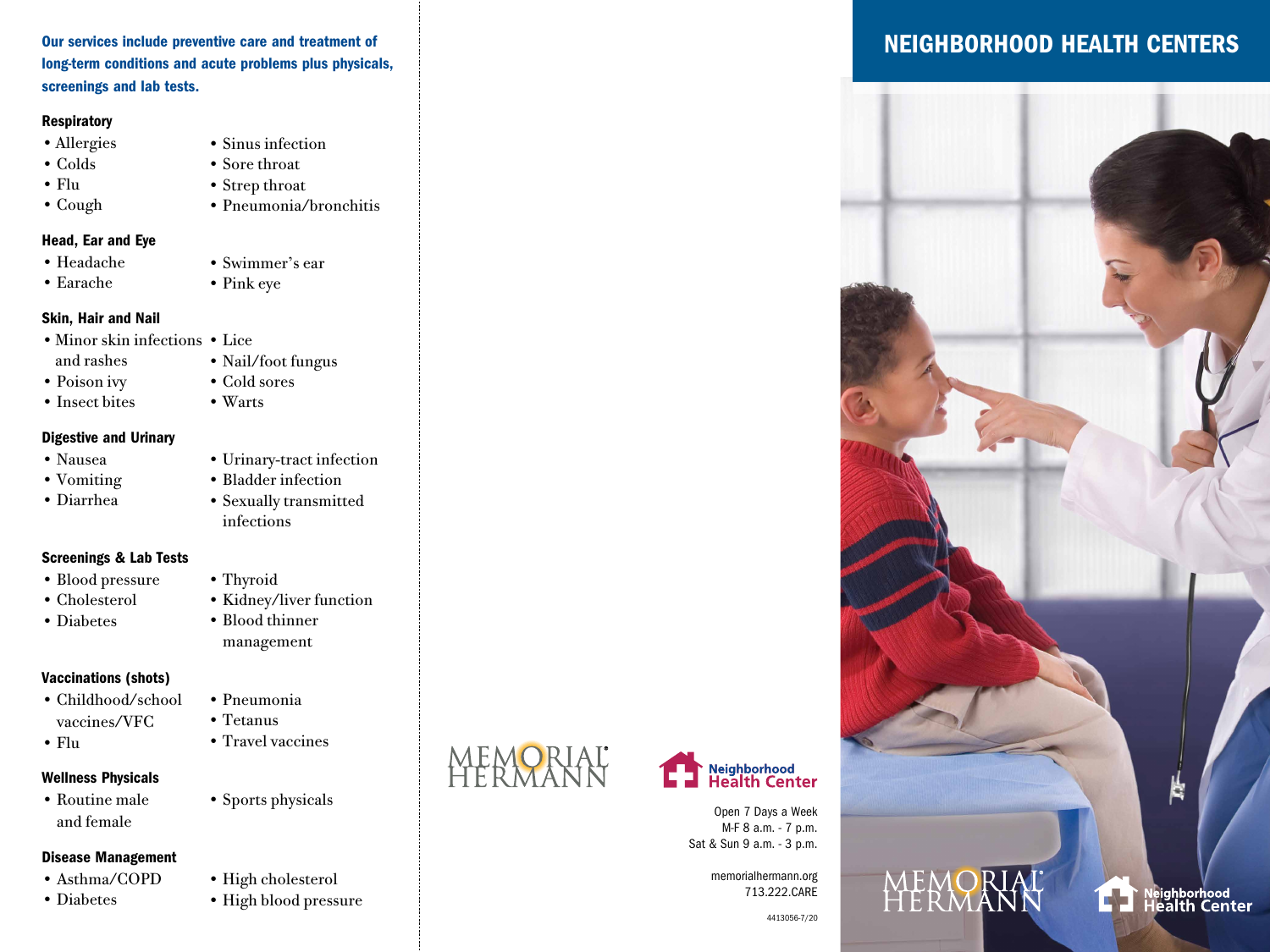Our services include preventive care and treatment of long-term conditions and acute problems plus physicals, screenings and lab tests.

### **Respiratory**

- •Allergies
- Colds
- Flu
- Cough
- Strep throat • Pneumonia/bronchitis

### Head, Ear and Eye

- Headache
- Earache
- Skin, Hair and Nail
- Minor skin infections Lice
- and rashes
- Poison ivy
- Insect bites
- Warts

### Digestive and Urinary

- Nausea
- Vomiting
- Diarrhea

### Screenings & Lab Tests

- Blood pressure
- Cholesterol
- 

### Vaccinations (shots)

- Childhood/school vaccines/VFC
- Flu

### Wellness Physicals

• Routine male and female

### Disease Management

- 
- Diabetes
- Sinus infection
- Sore throat
- 

### • Swimmer's ear

• Pink eye

### • Cold sores

# • Urinary-tract infection

- - Bladder infection
		- Sexually transmitted infections

• Kidney/liver function

# • Thyroid

- 
- Diabetes
- - management

- Pneumonia • Tetanus
	-
	- Travel vaccines

• Blood thinner

# • Sports physicals

- Asthma/COPD
- 
- High cholesterol
	- High blood pressure





Open 7 Days a Week M-F 8 a.m. - 7 p.m. Sat & Sun 9 a.m. - 3 p.m.

> memorialhermann.org 713.222.CARE

#### 4413056-7/20

### NEIGHBORHOOD HEALTH CENTERS



- Nail/foot fungus
	-